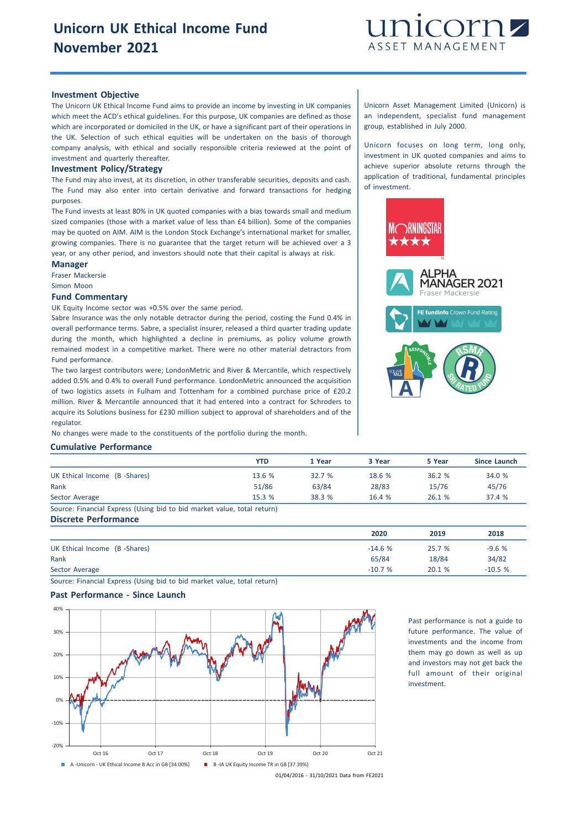

### **Investment Objective**

The Unicorn UK Ethical Income Fund aims to provide an income by investing in UK companies which meet the ACD's ethical guidelines. For this purpose, UK companies are defined as those which are incorporated or domiciled in the UK, or have a significant part of their operations in the UK. Selection of such ethical equities will be undertaken on the basis of thorough company analysis, with ethical and socially responsible criteria reviewed at the point of investment and quarterly thereafter.

#### **Investment Policy/Strategy**

The Fund may also invest, at its discretion, in other transferable securities, deposits and cash. The Fund may also enter into certain derivative and forward transactions for hedging purposes.

The Fund invests at least 80% in UK quoted companies with a bias towards small and medium sized companies (those with a market value of less than £4 billion). Some of the companies may be quoted on AIM. AIM is the London Stock Exchange's international market for smaller, growing companies. There is no guarantee that the target return will be achieved over a 3 year, or any other period, and investors should note that their capital is always at risk.

#### **Manager**

Fraser Mackersie

Simon Moon

### **Fund Commentary**

UK Equity Income sector was +0.5% over the same period.

Sabre Insurance was the only notable detractor during the period, costing the Fund 0.4% in overall performance terms. Sabre, a specialist insurer, released a third quarter trading update during the month, which highlighted a decline in premiums, as policy volume growth remained modest in a competitive market. There were no other material detractors from Fund performance.

The two largest contributors were; LondonMetric and River & Mercantile, which respectively added 0.5% and 0.4% to overall Fund performance. LondonMetric announced the acquisition of two logistics assets in Fulham and Tottenham for a combined purchase price of £20.2 million. River & Mercantile announced that it had entered into a contract for Schroders to acquire its Solutions business for £230 million subject to approval of shareholders and of the regulator.

No changes were made to the constituents of the portfolio during the month.

# **Cumulative Performance**

|                                                                         | <b>YTD</b> | 1 Year | 3 Year | 5 Year | Since Launch |
|-------------------------------------------------------------------------|------------|--------|--------|--------|--------------|
| UK Ethical Income (B -Shares)                                           | 13.6%      | 32.7%  | 18.6 % | 36.2%  | 34.0 %       |
| Rank                                                                    | 51/86      | 63/84  | 28/83  | 15/76  | 45/76        |
| Sector Average                                                          | 15.3%      | 38.3 % | 16.4%  | 26.1 % | 37.4 %       |
| Source: Financial Express (Using bid to bid market value, total return) |            |        |        |        |              |

# **Discrete Performance**

|                               | 2020     | 2019   | 2018     |
|-------------------------------|----------|--------|----------|
| UK Ethical Income (B -Shares) | $-14.6%$ | 25.7 % | $-9.6%$  |
| Rank                          | 65/84    | 18/84  | 34/82    |
| Sector Average                | $-10.7%$ | 20.1 % | $-10.5%$ |

Source: Financial Express (Using bid to bid market value, total return)

# **Past Performance - Since Launch**



Past performance is not a guide to future performance. The value of investments and the income from them may go down as well as up and investors may not get back the full amount of their original investment.

01/04/2016 - 31/10/2021 Data from FE2021

Unicorn Asset Management Limited (Unicorn) is an independent, specialist fund management group, established in July 2000.

Unicorn focuses on long term, long only, investment in UK quoted companies and aims to achieve superior absolute returns through the application of traditional, fundamental principles of investment.

PHA

**MANAGER 2021** raser Mackersie

**FE fundinfo** Crown Fund Rating